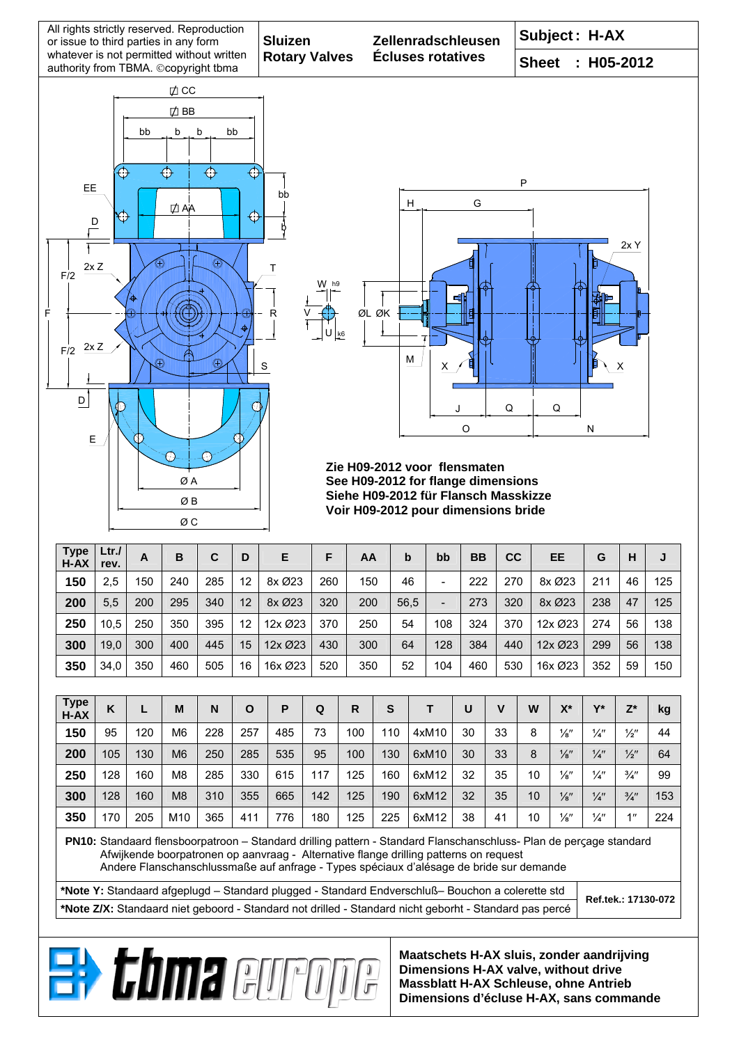





## **Zie H09-2012 voor flensmaten See H09-2012 for flange dimensions Siehe H09-2012 für Flansch Masskizze Voir H09-2012 pour dimensions bride**

| <b>Type</b><br>$H - AX$ | Ltr.<br>rev. | A   | B   | C   | D  | Е       | F   | AA  | b    | bb  | <b>BB</b> | CC  | <b>EE</b> | G   | H  | J   |
|-------------------------|--------------|-----|-----|-----|----|---------|-----|-----|------|-----|-----------|-----|-----------|-----|----|-----|
| 150                     | 2,5          | 150 | 240 | 285 | 12 | 8x Ø23  | 260 | 150 | 46   | -   | 222       | 270 | 8x Ø23    | 211 | 46 | 125 |
| 200                     | 5,5          | 200 | 295 | 340 | 12 | 8x Ø23  | 320 | 200 | 56,5 | -   | 273       | 320 | 8x Ø23    | 238 | 47 | 125 |
| 250                     | 10,5         | 250 | 350 | 395 | 12 | 12x Ø23 | 370 | 250 | 54   | 108 | 324       | 370 | 12x Ø23   | 274 | 56 | 138 |
| 300                     | 19,0         | 300 | 400 | 445 | 15 | 12x Ø23 | 430 | 300 | 64   | 128 | 384       | 440 | 12x Ø23   | 299 | 56 | 138 |
| 350                     | 34,0         | 350 | 460 | 505 | 16 | 16x Ø23 | 520 | 350 | 52   | 104 | 460       | 530 | 16x Ø23   | 352 | 59 | 150 |

| <b>Type</b><br>H-AX | Κ   | L   | M              | N   | O   | Р   | Q   | R   | S   |       | U  | v  | W  | X*              | $\mathbf{v}^*$ | $Z^*$           | kg  |
|---------------------|-----|-----|----------------|-----|-----|-----|-----|-----|-----|-------|----|----|----|-----------------|----------------|-----------------|-----|
| 150                 | 95  | 120 | M <sub>6</sub> | 228 | 257 | 485 | 73  | 100 | 110 | 4xM10 | 30 | 33 | 8  | $\frac{1}{8}$ " | $\frac{1}{4}$  | $\frac{1}{2}$ " | 44  |
| 200                 | 105 | 130 | M <sub>6</sub> | 250 | 285 | 535 | 95  | 100 | 130 | 6xM10 | 30 | 33 | 8  | $\frac{1}{8}$ " | $\frac{1}{4}$  | $\frac{1}{2}$ " | 64  |
| 250                 | 128 | 160 | M <sub>8</sub> | 285 | 330 | 615 | 117 | 125 | 160 | 6xM12 | 32 | 35 | 10 | $\frac{1}{8}$ " | $\frac{1}{4}$  | $\frac{3}{4}$ " | 99  |
| 300                 | 128 | 160 | M <sub>8</sub> | 310 | 355 | 665 | 142 | 125 | 190 | 6xM12 | 32 | 35 | 10 | $\frac{1}{8}$ " | $\frac{1}{4}$  | $\frac{3}{4}$ " | 153 |
| 350                 | 170 | 205 | M10            | 365 | 411 | 776 | 180 | 125 | 225 | 6xM12 | 38 | 41 | 10 | $\frac{1}{8}$ " | $\frac{1}{4}$  | 111             | 224 |

**PN10:** Standaard flensboorpatroon – Standard drilling pattern - Standard Flanschanschluss- Plan de perςage standard Afwijkende boorpatronen op aanvraag - Alternative flange drilling patterns on request

Andere Flanschanschlussmaße auf anfrage - Types spéciaux d'alésage de bride sur demande

**\*Note Y:** Standaard afgeplugd – Standard plugged - Standard Endverschluß– Bouchon a colerette std **\*Note Z/X:** Standaard niet geboord - Standard not drilled - Standard nicht geborht - Standard pas percé

**Ref.tek.: 17130-072**

**Maatschets H-AX sluis, zonder aandrijving Dimensions H-AX valve, without drive Massblatt H-AX Schleuse, ohne Antrieb Dimensions d'écluse H-AX, sans commande** 

**Ei, chma euro**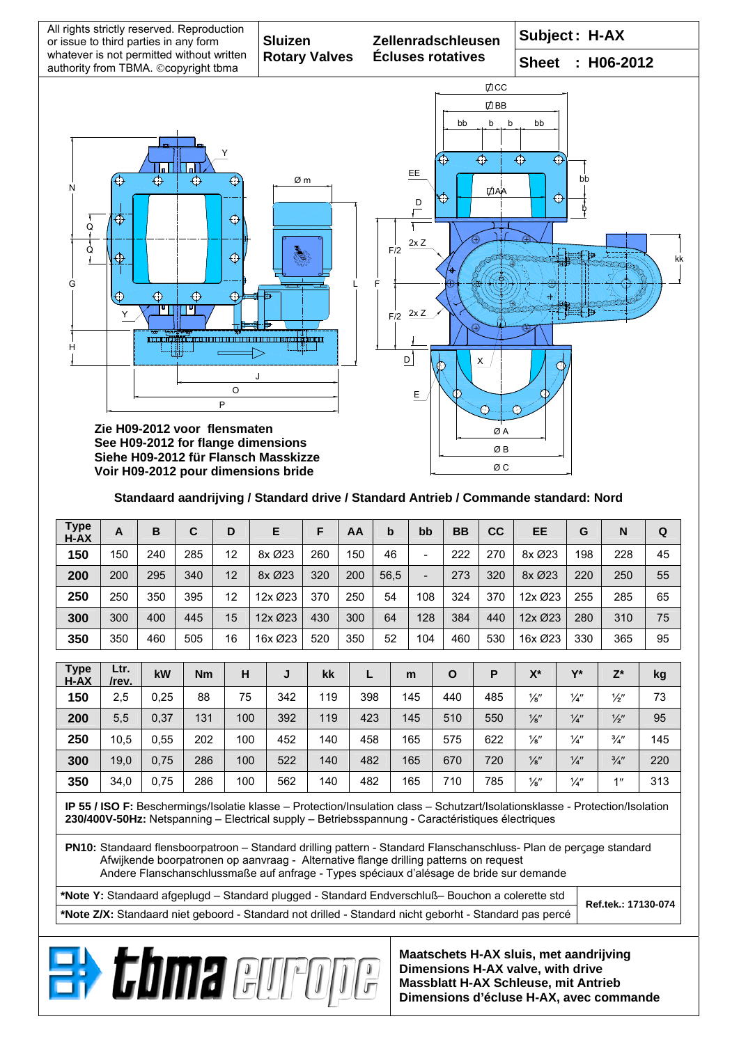

## **Standaard aandrijving / Standard drive / Standard Antrieb / Commande standard: Nord**

| <b>Type</b><br>H-AX                                                                                                                                                                                                                                                                                    | $\mathsf{A}$                                                                                                                                                                                                                      | B    | $\mathbf C$ | D   | E       |            | F   | AA  | b    | bb                       | <b>BB</b>    | cc  | EE              | G             | N               | Q   |
|--------------------------------------------------------------------------------------------------------------------------------------------------------------------------------------------------------------------------------------------------------------------------------------------------------|-----------------------------------------------------------------------------------------------------------------------------------------------------------------------------------------------------------------------------------|------|-------------|-----|---------|------------|-----|-----|------|--------------------------|--------------|-----|-----------------|---------------|-----------------|-----|
| 150                                                                                                                                                                                                                                                                                                    | 150                                                                                                                                                                                                                               | 240  | 285         | 12  | 8x Ø23  |            | 260 | 150 | 46   | $\overline{\phantom{m}}$ | 222          | 270 | 8x Ø23          | 198           | 228             | 45  |
| 200                                                                                                                                                                                                                                                                                                    | 200                                                                                                                                                                                                                               | 295  | 340         | 12  | 8x Ø23  |            | 320 | 200 | 56,5 | $\overline{\phantom{a}}$ | 273          | 320 | 8x Ø23          | 220           | 250             | 55  |
| 250                                                                                                                                                                                                                                                                                                    | 250                                                                                                                                                                                                                               | 350  | 395         | 12  | 12x Ø23 |            | 370 | 250 | 54   | 108                      | 324          | 370 | 12x Ø23         | 255           | 285             | 65  |
| 300                                                                                                                                                                                                                                                                                                    | 300                                                                                                                                                                                                                               | 400  | 445         | 15  |         | 12x Ø23    |     | 300 | 64   | 128                      | 384          | 440 | 12x Ø23         | 280           | 310             | 75  |
| 350                                                                                                                                                                                                                                                                                                    | 350                                                                                                                                                                                                                               | 460  | 505         | 16  | 16x Ø23 |            | 520 | 350 | 52   | 104                      | 460          | 530 | 16x Ø23         | 330           | 365             | 95  |
| <b>Type</b><br>Ltr.                                                                                                                                                                                                                                                                                    |                                                                                                                                                                                                                                   |      |             |     |         |            |     |     |      |                          |              |     |                 |               |                 |     |
| $H - AX$                                                                                                                                                                                                                                                                                               | /rev.                                                                                                                                                                                                                             | kW   | Nm          | H   |         | J          | kk  | L   |      | m                        | $\mathbf{o}$ | P   | $X^*$           | $Y^*$         | $Z^*$           | kg  |
| 150                                                                                                                                                                                                                                                                                                    | 2,5                                                                                                                                                                                                                               | 0,25 | 88          | 75  |         | 342        | 119 | 398 |      | 145                      | 440          |     | $\frac{1}{8}$ " | $\frac{1}{4}$ | $\frac{1}{2}$ " | 73  |
| 200                                                                                                                                                                                                                                                                                                    | 5,5                                                                                                                                                                                                                               | 0,37 | 131         | 100 |         | 392        | 119 | 423 |      | 145                      | 510          | 550 | $\frac{1}{8}$ " | $\frac{1}{4}$ | $\frac{1}{2}$ " | 95  |
| 250                                                                                                                                                                                                                                                                                                    | 10,5                                                                                                                                                                                                                              | 0,55 | 202         | 100 |         | 452<br>140 |     | 458 |      | 165                      | 575          | 622 | $\frac{1}{8}$ " | $\frac{1}{4}$ | $\frac{3}{4}$ " | 145 |
| 300                                                                                                                                                                                                                                                                                                    | 19,0                                                                                                                                                                                                                              | 0,75 | 286         | 100 |         | 522        | 140 | 482 |      | 165                      | 670          | 720 | $\frac{1}{8}$ " | $\frac{1}{4}$ | $\frac{3}{4}$   | 220 |
| 350                                                                                                                                                                                                                                                                                                    | 34,0                                                                                                                                                                                                                              | 0,75 | 286         | 100 | 562     |            | 140 | 482 |      | 165                      | 710          | 785 | $\frac{1}{8}$ " | $\frac{1}{4}$ | 1"              | 313 |
|                                                                                                                                                                                                                                                                                                        | IP 55 / ISO F: Beschermings/Isolatie klasse - Protection/Insulation class - Schutzart/Isolationsklasse - Protection/Isolation<br>230/400V-50Hz: Netspanning - Electrical supply - Betriebsspannung - Caractéristiques électriques |      |             |     |         |            |     |     |      |                          |              |     |                 |               |                 |     |
| PN10: Standaard flensboorpatroon - Standard drilling pattern - Standard Flanschanschluss- Plan de percage standard<br>Afwijkende boorpatronen op aanvraag - Alternative flange drilling patterns on request<br>Andere Flanschanschlussmaße auf anfrage - Types spéciaux d'alésage de bride sur demande |                                                                                                                                                                                                                                   |      |             |     |         |            |     |     |      |                          |              |     |                 |               |                 |     |
|                                                                                                                                                                                                                                                                                                        | *Note Y: Standaard afgeplugd - Standard plugged - Standard Endverschluß- Bouchon a colerette std                                                                                                                                  |      |             |     |         |            |     |     |      |                          |              |     |                 |               |                 |     |
| Ref.tek.: 17130-074<br>*Note Z/X: Standaard niet geboord - Standard not drilled - Standard nicht geborht - Standard pas percé                                                                                                                                                                          |                                                                                                                                                                                                                                   |      |             |     |         |            |     |     |      |                          |              |     |                 |               |                 |     |
|                                                                                                                                                                                                                                                                                                        |                                                                                                                                                                                                                                   |      |             |     |         |            |     |     |      |                          |              |     |                 |               |                 |     |
|                                                                                                                                                                                                                                                                                                        | Maatschets H-AX sluis, met aandrijving<br><b>Bit Coma euro</b><br>Dimensions H-AX valve, with drive<br><b>Massblatt H-AX Schleuse, mit Antrieb</b><br>Dimensions d'écluse H-AX, avec commande                                     |      |             |     |         |            |     |     |      |                          |              |     |                 |               |                 |     |